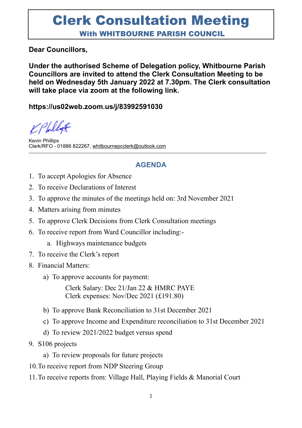## Clerk Consultation Meeting With WHITBOURNE PARISH COUNCIL

#### **Dear Councillors,**

**Under the authorised Scheme of Delegation policy, Whitbourne Parish Councillors are invited to attend the Clerk Consultation Meeting to be held on Wednesday 5th January 2022 at 7.30pm. The Clerk consultation will take place via zoom at the following link.**

#### **https://us02web.zoom.us/j/83992591030**

Philip

Kevin Phillips Clerk/RFO - 01886 822267, [whitbournepcclerk@outlook.com](mailto:whitbournepcclerk@outlook.com)

### **AGENDA**

- 1. To accept Apologies for Absence
- 2. To receive Declarations of Interest
- 3. To approve the minutes of the meetings held on: 3rd November 2021
- 4. Matters arising from minutes
- 5. To approve Clerk Decisions from Clerk Consultation meetings
- 6. To receive report from Ward Councillor including:
	- a. Highways maintenance budgets
- 7. To receive the Clerk's report
- 8. Financial Matters:
	- a) To approve accounts for payment:

Clerk Salary: Dec 21/Jan 22 & HMRC PAYE Clerk expenses: Nov/Dec 2021 (£191.80)

- b) To approve Bank Reconciliation to 31st December 2021
- c) To approve Income and Expenditure reconciliation to 31st December 2021
- d) To review 2021/2022 budget versus spend
- 9. S106 projects
	- a) To review proposals for future projects
- 10.To receive report from NDP Steering Group
- 11.To receive reports from: Village Hall, Playing Fields & Manorial Court